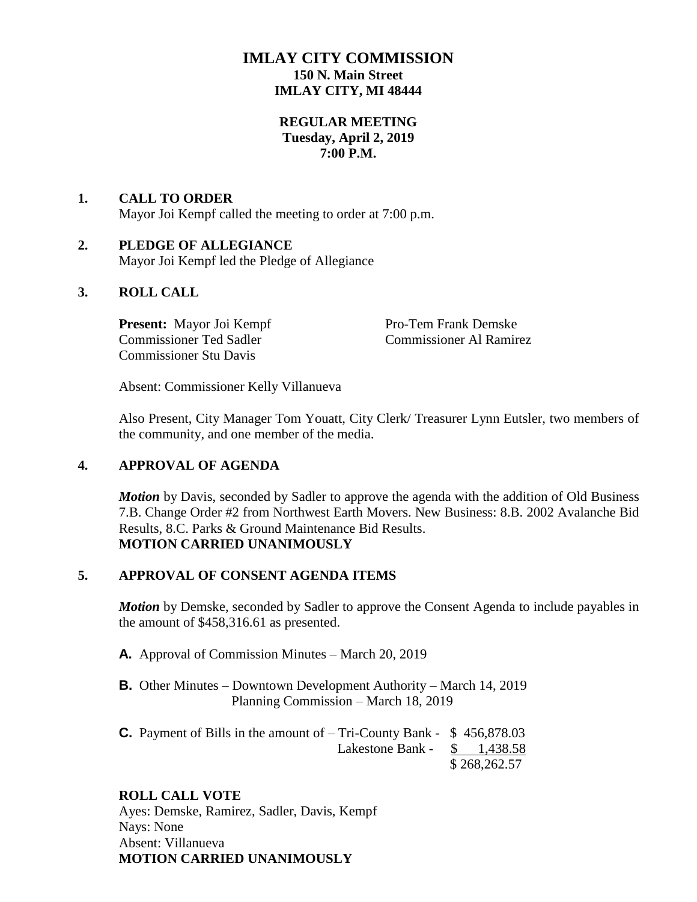# **IMLAY CITY COMMISSION 150 N. Main Street IMLAY CITY, MI 48444**

## **REGULAR MEETING Tuesday, April 2, 2019 7:00 P.M.**

# **1. CALL TO ORDER** Mayor Joi Kempf called the meeting to order at 7:00 p.m.

# **2. PLEDGE OF ALLEGIANCE**

Mayor Joi Kempf led the Pledge of Allegiance

## **3. ROLL CALL**

**Present:** Mayor Joi Kempf Pro-Tem Frank Demske Commissioner Ted Sadler Commissioner Al Ramirez Commissioner Stu Davis

Absent: Commissioner Kelly Villanueva

Also Present, City Manager Tom Youatt, City Clerk/ Treasurer Lynn Eutsler, two members of the community, and one member of the media.

# **4. APPROVAL OF AGENDA**

*Motion* by Davis, seconded by Sadler to approve the agenda with the addition of Old Business 7.B. Change Order #2 from Northwest Earth Movers. New Business: 8.B. 2002 Avalanche Bid Results, 8.C. Parks & Ground Maintenance Bid Results. **MOTION CARRIED UNANIMOUSLY**

#### **5. APPROVAL OF CONSENT AGENDA ITEMS**

*Motion* by Demske, seconded by Sadler to approve the Consent Agenda to include payables in the amount of \$458,316.61 as presented.

- **A.** Approval of Commission Minutes March 20, 2019
- **B.** Other Minutes Downtown Development Authority March 14, 2019 Planning Commission – March 18, 2019
- **C.** Payment of Bills in the amount of Tri-County Bank \$ 456,878.03 Lakestone Bank - \$ 1,438.58 \$ 268,262.57

# **ROLL CALL VOTE**

Ayes: Demske, Ramirez, Sadler, Davis, Kempf Nays: None Absent: Villanueva **MOTION CARRIED UNANIMOUSLY**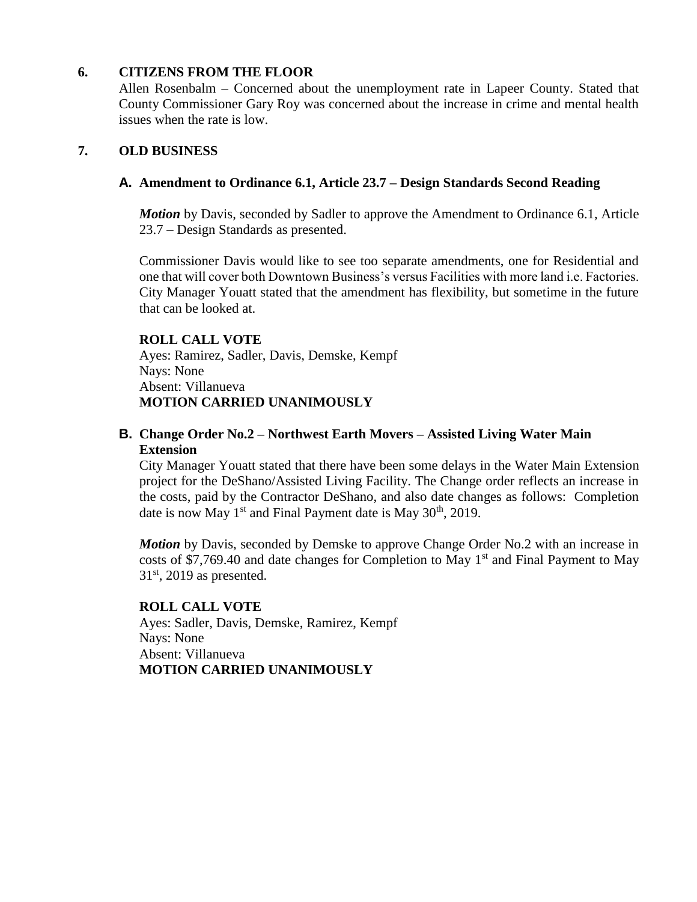## **6. CITIZENS FROM THE FLOOR**

Allen Rosenbalm – Concerned about the unemployment rate in Lapeer County. Stated that County Commissioner Gary Roy was concerned about the increase in crime and mental health issues when the rate is low.

## **7. OLD BUSINESS**

### **A. Amendment to Ordinance 6.1, Article 23.7 – Design Standards Second Reading**

*Motion* by Davis, seconded by Sadler to approve the Amendment to Ordinance 6.1, Article 23.7 – Design Standards as presented.

Commissioner Davis would like to see too separate amendments, one for Residential and one that will cover both Downtown Business's versus Facilities with more land i.e. Factories. City Manager Youatt stated that the amendment has flexibility, but sometime in the future that can be looked at.

#### **ROLL CALL VOTE**

Ayes: Ramirez, Sadler, Davis, Demske, Kempf Nays: None Absent: Villanueva **MOTION CARRIED UNANIMOUSLY**

# **B. Change Order No.2 – Northwest Earth Movers – Assisted Living Water Main Extension**

City Manager Youatt stated that there have been some delays in the Water Main Extension project for the DeShano/Assisted Living Facility. The Change order reflects an increase in the costs, paid by the Contractor DeShano, and also date changes as follows: Completion date is now May  $1<sup>st</sup>$  and Final Payment date is May  $30<sup>th</sup>$ , 2019.

*Motion* by Davis, seconded by Demske to approve Change Order No.2 with an increase in costs of \$7,769.40 and date changes for Completion to May  $1<sup>st</sup>$  and Final Payment to May  $31<sup>st</sup>$ , 2019 as presented.

#### **ROLL CALL VOTE**

Ayes: Sadler, Davis, Demske, Ramirez, Kempf Nays: None Absent: Villanueva **MOTION CARRIED UNANIMOUSLY**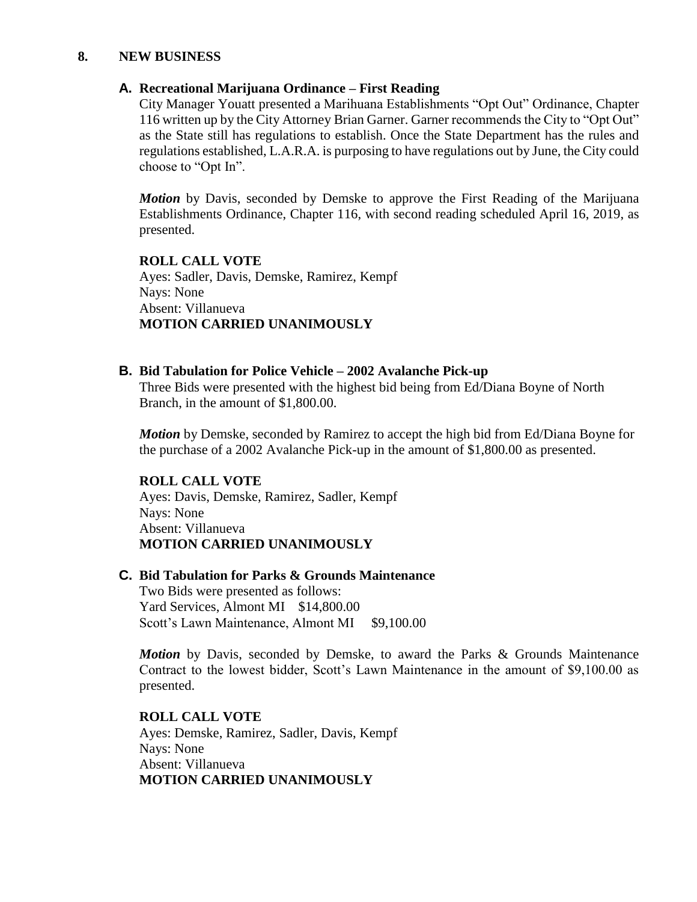#### **8. NEW BUSINESS**

#### **A. Recreational Marijuana Ordinance – First Reading**

City Manager Youatt presented a Marihuana Establishments "Opt Out" Ordinance, Chapter 116 written up by the City Attorney Brian Garner. Garner recommends the City to "Opt Out" as the State still has regulations to establish. Once the State Department has the rules and regulations established, L.A.R.A. is purposing to have regulations out by June, the City could choose to "Opt In".

*Motion* by Davis, seconded by Demske to approve the First Reading of the Marijuana Establishments Ordinance, Chapter 116, with second reading scheduled April 16, 2019, as presented.

# **ROLL CALL VOTE** Ayes: Sadler, Davis, Demske, Ramirez, Kempf

Nays: None Absent: Villanueva **MOTION CARRIED UNANIMOUSLY**

## **B. Bid Tabulation for Police Vehicle – 2002 Avalanche Pick-up**

Three Bids were presented with the highest bid being from Ed/Diana Boyne of North Branch, in the amount of \$1,800.00.

*Motion* by Demske, seconded by Ramirez to accept the high bid from Ed/Diana Boyne for the purchase of a 2002 Avalanche Pick-up in the amount of \$1,800.00 as presented.

# **ROLL CALL VOTE**

Ayes: Davis, Demske, Ramirez, Sadler, Kempf Nays: None Absent: Villanueva **MOTION CARRIED UNANIMOUSLY**

#### **C. Bid Tabulation for Parks & Grounds Maintenance**

Two Bids were presented as follows: Yard Services, Almont MI \$14,800.00 Scott's Lawn Maintenance, Almont MI \$9,100.00

*Motion* by Davis, seconded by Demske, to award the Parks & Grounds Maintenance Contract to the lowest bidder, Scott's Lawn Maintenance in the amount of \$9,100.00 as presented.

**ROLL CALL VOTE** Ayes: Demske, Ramirez, Sadler, Davis, Kempf Nays: None Absent: Villanueva **MOTION CARRIED UNANIMOUSLY**